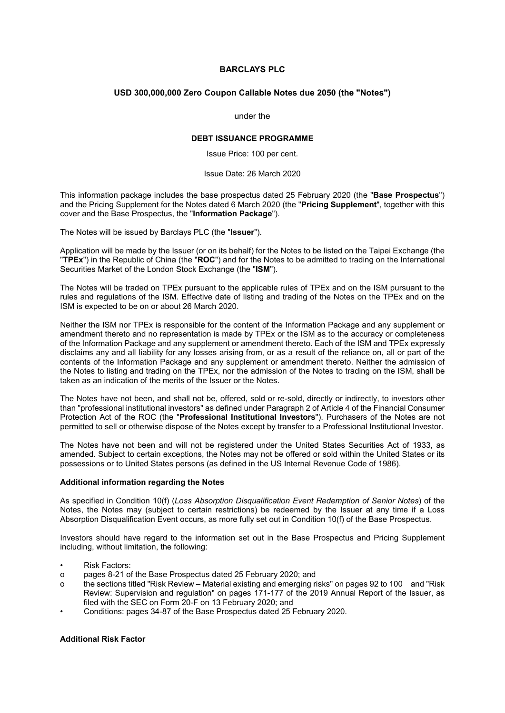# **BARCLAYS PLC**

## **USD 300,000,000 Zero Coupon Callable Notes due 2050 (the "Notes")**

#### under the

#### **DEBT ISSUANCE PROGRAMME**

Issue Price: 100 per cent.

#### Issue Date: 26 March 2020

This information package includes the base prospectus dated 25 February 2020 (the "**Base Prospectus**") and the Pricing Supplement for the Notes dated 6 March 2020 (the "**Pricing Supplement**", together with this cover and the Base Prospectus, the "**Information Package**").

The Notes will be issued by Barclays PLC (the "**Issuer**").

Application will be made by the Issuer (or on its behalf) for the Notes to be listed on the Taipei Exchange (the "**TPEx**") in the Republic of China (the "**ROC**") and for the Notes to be admitted to trading on the International Securities Market of the London Stock Exchange (the "**ISM**").

The Notes will be traded on TPEx pursuant to the applicable rules of TPEx and on the ISM pursuant to the rules and regulations of the ISM. Effective date of listing and trading of the Notes on the TPEx and on the ISM is expected to be on or about 26 March 2020.

Neither the ISM nor TPEx is responsible for the content of the Information Package and any supplement or amendment thereto and no representation is made by TPEx or the ISM as to the accuracy or completeness of the Information Package and any supplement or amendment thereto. Each of the ISM and TPEx expressly disclaims any and all liability for any losses arising from, or as a result of the reliance on, all or part of the contents of the Information Package and any supplement or amendment thereto. Neither the admission of the Notes to listing and trading on the TPEx, nor the admission of the Notes to trading on the ISM, shall be taken as an indication of the merits of the Issuer or the Notes.

The Notes have not been, and shall not be, offered, sold or re-sold, directly or indirectly, to investors other than "professional institutional investors" as defined under Paragraph 2 of Article 4 of the Financial Consumer Protection Act of the ROC (the "**Professional Institutional Investors**"). Purchasers of the Notes are not permitted to sell or otherwise dispose of the Notes except by transfer to a Professional Institutional Investor.

The Notes have not been and will not be registered under the United States Securities Act of 1933, as amended. Subject to certain exceptions, the Notes may not be offered or sold within the United States or its possessions or to United States persons (as defined in the US Internal Revenue Code of 1986).

## **Additional information regarding the Notes**

As specified in Condition 10(f) (*Loss Absorption Disqualification Event Redemption of Senior Notes*) of the Notes, the Notes may (subject to certain restrictions) be redeemed by the Issuer at any time if a Loss Absorption Disqualification Event occurs, as more fully set out in Condition 10(f) of the Base Prospectus.

Investors should have regard to the information set out in the Base Prospectus and Pricing Supplement including, without limitation, the following:

- Risk Factors:
- o pages 8-21 of the Base Prospectus dated 25 February 2020; and
- o the sections titled "Risk Review Material existing and emerging risks" on pages 92 to 100 and "Risk Review: Supervision and regulation" on pages 171-177 of the 2019 Annual Report of the Issuer, as filed with the SEC on Form 20-F on 13 February 2020; and
- Conditions: pages 34-87 of the Base Prospectus dated 25 February 2020.

## **Additional Risk Factor**